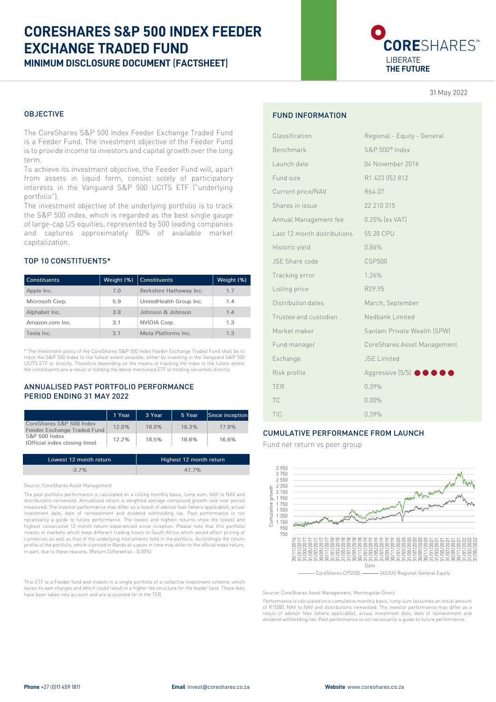# **CORESHARES S&P 500 INDEX FEEDER EXCHANGE TRADED FUND MINIMUM DISCLOSURE DOCUMENT** (**FACTSHEET**)

CORESHARES<sup>®</sup> LIBERATE **THE FUTURE**

31 May 2022

### OBJECTIVE

The CoreShares S&P 500 Index Feeder Exchange Traded Fund is a Feeder Fund. The investment objective of the Feeder Fund is to provide income to investors and capital growth over the long term.

To achieve its investment objective, the Feeder Fund will, apart from assets in liquid form, consist solely of participatory interests in the Vanguard S&P 500 UCITS ETF ("underlying portfolio").

The investment objective of the underlying portfolio is to track the S&P 500 index, which is regarded as the best single gauge of large-cap US equities, represented by 500 leading companies and captures approximately 80% of available market capitalization.

### TOP 10 CONSTITUENTS\*

| <b>Constituents</b> | Weight (%) | <b>Constituents</b>     | Weight (%) |
|---------------------|------------|-------------------------|------------|
| Apple Inc.          | 7.0        | Berkshire Hathaway Inc. | 1.7        |
| Microsoft Corp.     | 5.9        | UnitedHealth Group Inc. | 1.4        |
| Alphabet Inc.       | 3.8        | Johnson & Johnson       | 1.4        |
| Amazon.com Inc.     | 3.1        | NVIDIA Corp.            | 1.3        |
| Tesla Inc.          | 2.1        | Meta Platforms Inc.     | 1.3        |

\* The investment policy of the CoreShares S&P 500 Index Feeder Exchange Traded Fund shall be to track the S&P 500 Index to the fullest extent possible, either by investing in the Vanguard S&P 500 UCITS ETF or directly. Therefore depending on the means of tracking the index to the fullest extent the constituents are a result of holding the above mentioned ETF or holding securities directly.

### ANNUALISED PAST PORTFOLIO PERFORMANCE PERIOD ENDING 31 MAY 2022

|                                                         | 1 Year | 3 Year | 5 Year | Since inception |
|---------------------------------------------------------|--------|--------|--------|-----------------|
| CoreShares S&P 500 Index<br>Feeder Exchange Traded Fund | 12.0%  | 18.0%  | 16.3%  | 17.8%           |
| S&P 500 Index<br>(Official index closing time)          | 12.2%  | 18.5%  | 16.6%  | 16.6%           |

| Lowest 12 month return | Highest 12 month return |
|------------------------|-------------------------|
| $-3.7\%$               | 47.7%                   |

Source: CoreShares Asset Management

The past portfolio performance is calculated on a rolling monthly basis, lump sum, NAV to NAV and distributions reinvested. Annualised return is weighted average compound growth rate over period measured. The investor performance may differ as a result of advisor fees (where applicable), actual investment date, date of reinvestment and dividend withholding tax. Past performance is not necessarily a guide to future performance. The lowest and highest returns show the lowest and highest consecutive 12 month return experienced since inception. Please note that this portfolic invests in markets which keep different trading hours to South Africa which would affect pricing of currencies as well as that of the underlying instruments held in the portfolio. Accordingly the return profile of the portfolio, which is priced in Rands at a point in time may differ to the official index return, in part, due to these reasons. (Return Differential: -0.50%)

This ETF is a Feeder fund and invests in a single portfolio of a collective investment scheme, which levies its own charges and which could result in a higher fee structure for the feeder fund. These fees have been taken into account and are accounted for in the TER.

### FUND INFORMATION

| Classification              | Regional - Equity - General                  |
|-----------------------------|----------------------------------------------|
| Benchmark                   | S&P 500 <sup>®</sup> Index                   |
| Launch date                 | 04 November 2016                             |
| Fund size                   | R1 423 052 812                               |
| Current price/NAV           | R64.07                                       |
| Shares in issue             | 22 210 315                                   |
| Annual Management fee       | 0.25% [ex VAT]                               |
| Last 12 month distributions | 55.28 CPU                                    |
| Historic yield              | 0.86%                                        |
| JSE Share code              | <b>CSP500</b>                                |
| Tracking error              | 1.26%                                        |
| Listing price               | R <sub>29.95</sub>                           |
| Distribution dates          | March, September                             |
| Trustee and custodian       | Nedbank Limited                              |
| Market maker                | Sanlam Private Wealth (SPW)                  |
| Fund manager                | CoreShares Asset Management                  |
| Exchange                    | <b>JSE</b> Limited                           |
| Risk profile                | Aggressive $(5/5)$ $\bullet \bullet \bullet$ |
| <b>TER</b>                  | 0.39%                                        |
| TC                          | $0.00\%$                                     |
| TIC                         | 0.39%                                        |

### CUMULATIVE PERFORMANCE FROM LAUNCH

Fund net return vs peer group



Source: CoreShares Asset Management, Morningstar Direct.

Performance is calculated on a cumulative monthly basis, lump sum (assumes an initial amount of R1000), NAV to NAV and distributions reinvested. The investor performance may differ as a result of advisor fees (where applicable), actual investment date, date of reinvestment and dividend withholding tax. Past performance is not necessarily a guide to future performance.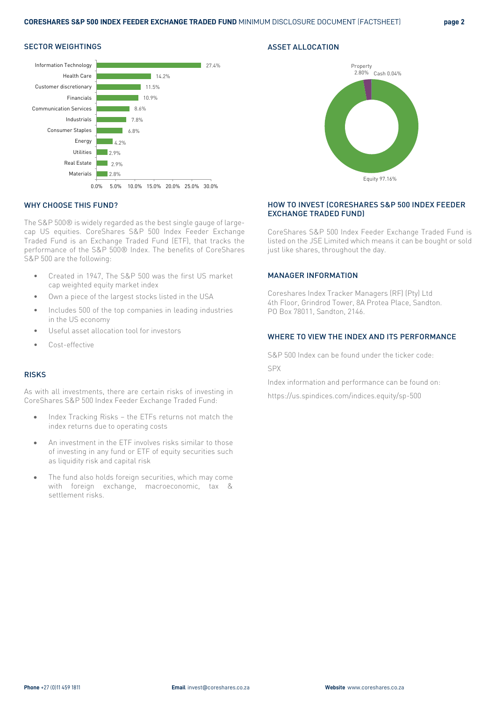### SECTOR WEIGHTINGS





## WHY CHOOSE THIS FUND?

The S&P 500® is widely regarded as the best single gauge of largecap US equities. CoreShares S&P 500 Index Feeder Exchange Traded Fund is an Exchange Traded Fund (ETF), that tracks the performance of the S&P 500® Index. The benefits of CoreShares S&P 500 are the following:

- Created in 1947, The S&P 500 was the first US market cap weighted equity market index
- Own a piece of the largest stocks listed in the USA
- Includes 500 of the top companies in leading industries in the US economy
- Useful asset allocation tool for investors
- Cost-effective

### RISKS

As with all investments, there are certain risks of investing in CoreShares S&P 500 Index Feeder Exchange Traded Fund:

- Index Tracking Risks the ETFs returns not match the index returns due to operating costs
- An investment in the ETF involves risks similar to those of investing in any fund or ETF of equity securities such as liquidity risk and capital risk
- The fund also holds foreign securities, which may come with foreign exchange, macroeconomic, tax & settlement risks.

### HOW TO INVEST (CORESHARES S&P 500 INDEX FEEDER EXCHANGE TRADED FUND)

CoreShares S&P 500 Index Feeder Exchange Traded Fund is listed on the JSE Limited which means it can be bought or sold just like shares, throughout the day.

### MANAGER INFORMATION

ASSET ALLOCATION

Coreshares Index Tracker Managers (RF) (Pty) Ltd 4th Floor, Grindrod Tower, 8A Protea Place, Sandton. PO Box 78011, Sandton, 2146.

### WHERE TO VIEW THE INDEX AND ITS PERFORMANCE

S&P 500 Index can be found under the ticker code: SPX

Index information and performance can be found on: https://us.spindices.com/indices.equity/sp-500